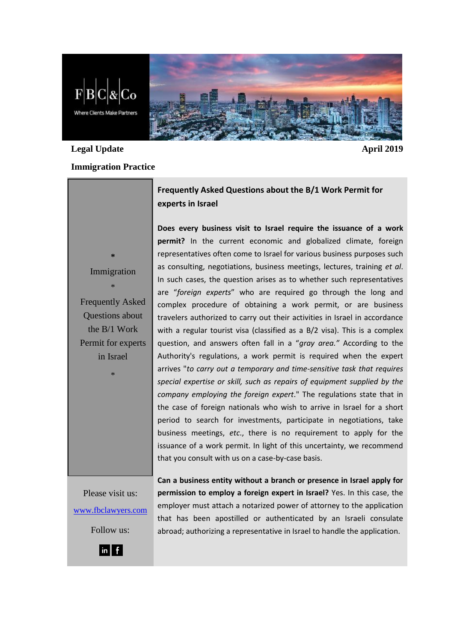**Where Clients Make Partners** 

# **Legal Update April 2019**

## **Immigration Practice**

**Frequently Asked Questions about the B/1 Work Permit for experts in Israel**

**Does every business visit to Israel require the issuance of a work permit?** In the current economic and globalized climate, foreign representatives often come to Israel for various business purposes such as consulting, negotiations, business meetings, lectures, training *et al*. In such cases, the question arises as to whether such representatives are "*foreign experts*" who are required go through the long and complex procedure of obtaining a work permit, or are business travelers authorized to carry out their activities in Israel in accordance with a regular tourist visa (classified as a B/2 visa). This is a complex question, and answers often fall in a "*gray area."* According to the Authority's regulations, a work permit is required when the expert arrives "*to carry out a temporary and time-sensitive task that requires special expertise or skill, such as repairs of equipment supplied by the company employing the foreign expert*." The regulations state that in the case of foreign nationals who wish to arrive in Israel for a short period to search for investments, participate in negotiations, take business meetings, *etc*., there is no requirement to apply for the issuance of a work permit. In light of this uncertainty, we recommend that you consult with us on a case-by-case basis.

Please visit us: [www.fbclawyers.com](http://www.fbclawyers.com/) Follow us:

**Can a business entity without a branch or presence in Israel apply for permission to employ a foreign expert in Israel?** Yes. In this case, the employer must attach a notarized power of attorney to the application that has been apostilled or authenticated by an Israeli consulate abroad; authorizing a representative in Israel to handle the application.

Immigration \* Frequently Asked Questions about the B/1 Work Permit for experts

in Israel

\*

**\***



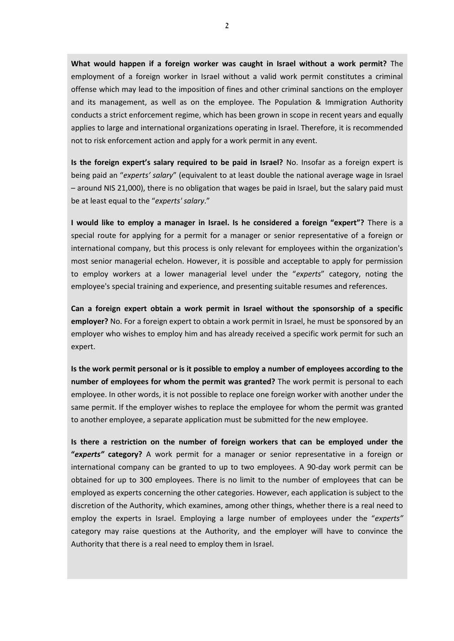**What would happen if a foreign worker was caught in Israel without a work permit?** The employment of a foreign worker in Israel without a valid work permit constitutes a criminal offense which may lead to the imposition of fines and other criminal sanctions on the employer and its management, as well as on the employee. The Population & Immigration Authority conducts a strict enforcement regime, which has been grown in scope in recent years and equally applies to large and international organizations operating in Israel. Therefore, it is recommended not to risk enforcement action and apply for a work permit in any event.

**Is the foreign expert's salary required to be paid in Israel?** No. Insofar as a foreign expert is being paid an "*experts' salary*" (equivalent to at least double the national average wage in Israel – around NIS 21,000), there is no obligation that wages be paid in Israel, but the salary paid must be at least equal to the "*experts' salary*."

**I would like to employ a manager in Israel. Is he considered a foreign "expert"?** There is a special route for applying for a permit for a manager or senior representative of a foreign or international company, but this process is only relevant for employees within the organization's most senior managerial echelon. However, it is possible and acceptable to apply for permission to employ workers at a lower managerial level under the "*experts*" category, noting the employee's special training and experience, and presenting suitable resumes and references.

**Can a foreign expert obtain a work permit in Israel without the sponsorship of a specific employer?** No. For a foreign expert to obtain a work permit in Israel, he must be sponsored by an employer who wishes to employ him and has already received a specific work permit for such an expert.

**Is the work permit personal or is it possible to employ a number of employees according to the number of employees for whom the permit was granted?** The work permit is personal to each employee. In other words, it is not possible to replace one foreign worker with another under the same permit. If the employer wishes to replace the employee for whom the permit was granted to another employee, a separate application must be submitted for the new employee.

**Is there a restriction on the number of foreign workers that can be employed under the "***experts"* **category?** A work permit for a manager or senior representative in a foreign or international company can be granted to up to two employees. A 90-day work permit can be obtained for up to 300 employees. There is no limit to the number of employees that can be employed as experts concerning the other categories. However, each application is subject to the discretion of the Authority, which examines, among other things, whether there is a real need to employ the experts in Israel. Employing a large number of employees under the "*experts"* category may raise questions at the Authority, and the employer will have to convince the Authority that there is a real need to employ them in Israel.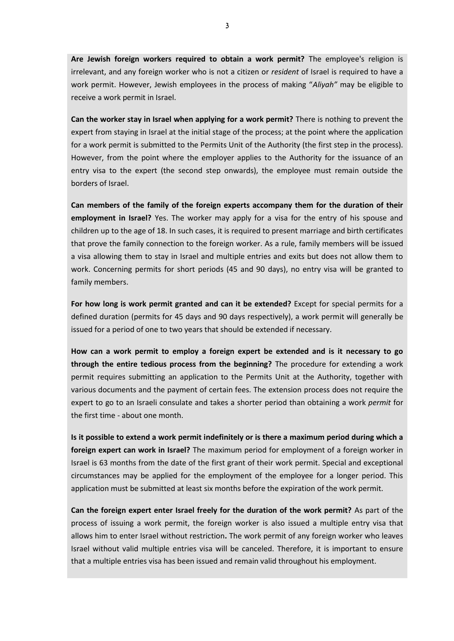**Are Jewish foreign workers required to obtain a work permit?** The employee's religion is irrelevant, and any foreign worker who is not a citizen or *resident* of Israel is required to have a work permit. However, Jewish employees in the process of making "*Aliyah"* may be eligible to receive a work permit in Israel.

**Can the worker stay in Israel when applying for a work permit?** There is nothing to prevent the expert from staying in Israel at the initial stage of the process; at the point where the application for a work permit is submitted to the Permits Unit of the Authority (the first step in the process). However, from the point where the employer applies to the Authority for the issuance of an entry visa to the expert (the second step onwards), the employee must remain outside the borders of Israel.

**Can members of the family of the foreign experts accompany them for the duration of their employment in Israel?** Yes. The worker may apply for a visa for the entry of his spouse and children up to the age of 18. In such cases, it is required to present marriage and birth certificates that prove the family connection to the foreign worker. As a rule, family members will be issued a visa allowing them to stay in Israel and multiple entries and exits but does not allow them to work. Concerning permits for short periods (45 and 90 days), no entry visa will be granted to family members.

**For how long is work permit granted and can it be extended?** Except for special permits for a defined duration (permits for 45 days and 90 days respectively), a work permit will generally be issued for a period of one to two years that should be extended if necessary.

**How can a work permit to employ a foreign expert be extended and is it necessary to go through the entire tedious process from the beginning?** The procedure for extending a work permit requires submitting an application to the Permits Unit at the Authority, together with various documents and the payment of certain fees. The extension process does not require the expert to go to an Israeli consulate and takes a shorter period than obtaining a work *permit* for the first time - about one month.

**Is it possible to extend a work permit indefinitely or is there a maximum period during which a foreign expert can work in Israel?** The maximum period for employment of a foreign worker in Israel is 63 months from the date of the first grant of their work permit. Special and exceptional circumstances may be applied for the employment of the employee for a longer period. This application must be submitted at least six months before the expiration of the work permit.

**Can the foreign expert enter Israel freely for the duration of the work permit?** As part of the process of issuing a work permit, the foreign worker is also issued a multiple entry visa that allows him to enter Israel without restriction**.** The work permit of any foreign worker who leaves Israel without valid multiple entries visa will be canceled. Therefore, it is important to ensure that a multiple entries visa has been issued and remain valid throughout his employment.